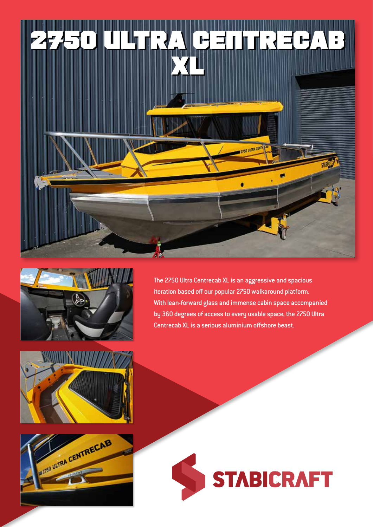



The 2750 Ultra Centrecab XL is an aggressive and spacious iteration based off our popular 2750 walkaround platform. With lean-forward glass and immense cabin space accompanied by 360 degrees of access to every usable space, the 2750 Ultra Centrecab XL is a serious aluminium offshore beast.